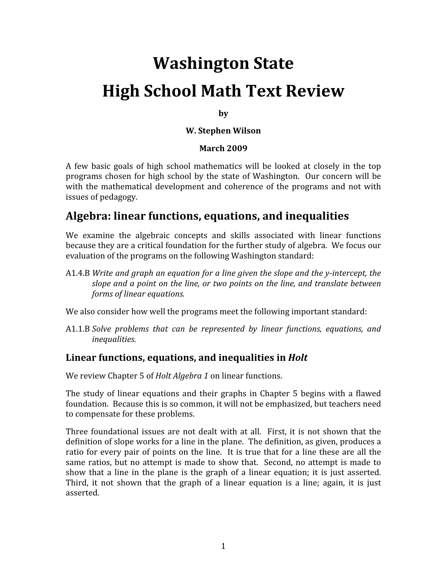# **Washington State High School Math Text Review**

**by**

#### **W. Stephen Wilson**

#### **March 2009**

A few basic goals of high school mathematics will be looked at closely in the top programs chosen for high school by the state of Washington. Our concern will be with the mathematical development and coherence of the programs and not with issues of pedagogy.

## **Algebra: linear functions, equations, and inequalities**

We examine the algebraic concepts and skills associated with linear functions because they are a critical foundation for the further study of algebra. We focus our evaluation of the programs on the following Washington standard:

A1.4.B *Write and graph an equation for a line given the slope and the yintercept, the slope and a point on the line, or two points on the line, and translate between forms of linear equations.* 

We also consider how well the programs meet the following important standard:

A1.1.B *Solve problems that can be represented by linear functions, equations, and inequalities.* 

#### **Linear functions, equations, and inequalities in** *Holt*

We review Chapter 5 of *Holt Algebra 1* on linear functions.

The study of linear equations and their graphs in Chapter 5 begins with a flawed foundation. Because this is so common, it will not be emphasized, but teachers need to compensate for these problems.

Three foundational issues are not dealt with at all. First, it is not shown that the definition of slope works for a line in the plane. The definition, as given, produces a ratio for every pair of points on the line. It is true that for a line these are all the same ratios, but no attempt is made to show that. Second, no attempt is made to show that a line in the plane is the graph of a linear equation; it is just asserted. Third, it not shown that the graph of a linear equation is a line; again, it is just asserted.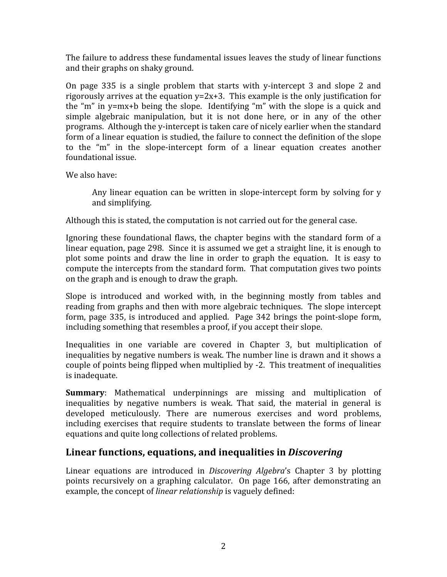The failure to address these fundamental issues leaves the study of linear functions and their graphs on shaky ground.

On page  $335$  is a single problem that starts with y-intercept 3 and slope 2 and rigorously arrives at the equation  $y=2x+3$ . This example is the only justification for the "m" in y=mx+b being the slope. Identifying "m" with the slope is a quick and simple algebraic manipulation, but it is not done here, or in any of the other programs. Although the y‐intercept is taken care of nicely earlier when the standard form of a linear equation is studied, the failure to connect the definition of the slope to the "m" in the slope-intercept form of a linear equation creates another foundational issue.

We also have:

Any linear equation can be written in slope-intercept form by solving for y and simplifying.

Although this is stated, the computation is not carried out for the general case.

Ignoring these foundational flaws, the chapter begins with the standard form of a linear equation, page 298. Since it is assumed we get a straight line, it is enough to plot some points and draw the line in order to graph the equation. It is easy to compute the intercepts from the standard form. That computation gives two points on the graph and is enough to draw the graph.

Slope is introduced and worked with, in the beginning mostly from tables and reading from graphs and then with more algebraic techniques. The slope intercept form, page 335, is introduced and applied. Page 342 brings the point-slope form, including something that resembles a proof, if you accept their slope.

Inequalities in one variable are covered in Chapter 3, but multiplication of inequalities by negative numbers is weak. The number line is drawn and it shows a couple of points being flipped when multiplied by ‐2. This treatment of inequalities is inadequate.

**Summary:** Mathematical underpinnings are missing and multiplication of inequalities by negative numbers is weak. That said, the material in general is developed meticulously. There are numerous exercises and word problems, including exercises that require students to translate between the forms of linear equations and quite long collections of related problems.

#### **Linear functions, equations, and inequalities in** *Discovering*

Linear equations are introduced in *Discovering Algebra*'s Chapter 3 by plotting points recursively on a graphing calculator. On page 166, after demonstrating an example, the concept of *linear relationship* is vaguely defined: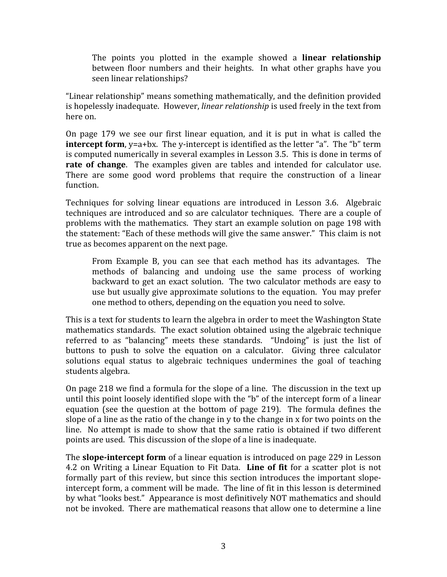The points you plotted in the example showed a **linear relationship** between floor numbers and their heights. In what other graphs have you seen linear relationships?

"Linear relationship" means something mathematically, and the definition provided is hopelessly inadequate. However, *linear relationship* is used freely in the text from here on.

On page 179 we see our first linear equation, and it is put in what is called the **intercept form**, y=a+bx. The y-intercept is identified as the letter "a". The "b" term is computed numerically in several examples in Lesson 3.5. This is done in terms of **rate of change**. The examples given are tables and intended for calculator use. There are some good word problems that require the construction of a linear function.

Techniques for solving linear equations are introduced in Lesson 3.6. Algebraic techniques are introduced and so are calculator techniques. There are a couple of problems with the mathematics. They start an example solution on page 198 with the statement: "Each of these methods will give the same answer." This claim is not true as becomes apparent on the next page.

From Example B, you can see that each method has its advantages. The methods of balancing and undoing use the same process of working backward to get an exact solution. The two calculator methods are easy to use but usually give approximate solutions to the equation. You may prefer one method to others, depending on the equation you need to solve.

This is a text for students to learn the algebra in order to meet the Washington State mathematics standards. The exact solution obtained using the algebraic technique referred to as "balancing" meets these standards. "Undoing" is just the list of buttons to push to solve the equation on a calculator. Giving three calculator solutions equal status to algebraic techniques undermines the goal of teaching students algebra.

On page 218 we find a formula for the slope of a line. The discussion in the text up until this point loosely identified slope with the "b" of the intercept form of a linear equation (see the question at the bottom of page 219). The formula defines the slope of a line as the ratio of the change in y to the change in x for two points on the line. No attempt is made to show that the same ratio is obtained if two different points are used. This discussion of the slope of a line is inadequate.

The **slope-intercept form** of a linear equation is introduced on page 229 in Lesson 4.2 on Writing a Linear Equation to Fit Data. **Line of fit** for a scatter plot is not formally part of this review, but since this section introduces the important slopeintercept form, a comment will be made. The line of fit in this lesson is determined by what "looks best." Appearance is most definitively NOT mathematics and should not be invoked. There are mathematical reasons that allow one to determine a line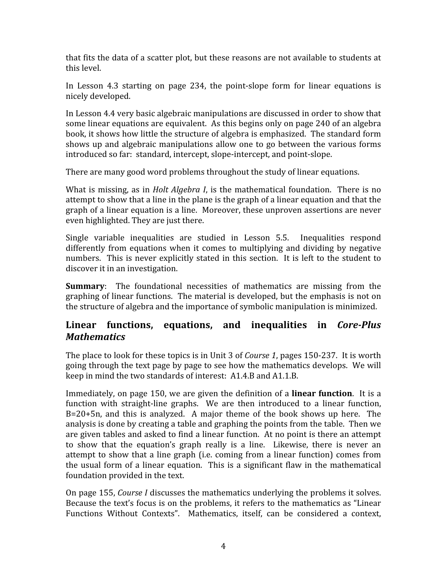that fits the data of a scatter plot, but these reasons are not available to students at this level.

In Lesson 4.3 starting on page 234, the point-slope form for linear equations is nicely developed.

In Lesson 4.4 very basic algebraic manipulations are discussed in order to show that some linear equations are equivalent. As this begins only on page 240 of an algebra book, it shows how little the structure of algebra is emphasized. The standard form shows up and algebraic manipulations allow one to go between the various forms introduced so far: standard, intercept, slope‐intercept, and point‐slope.

There are many good word problems throughout the study of linear equations.

What is missing, as in *Holt Algebra I*, is the mathematical foundation. There is no attempt to show that a line in the plane is the graph of a linear equation and that the graph of a linear equation is a line. Moreover, these unproven assertions are never even highlighted. They are just there.

Single variable inequalities are studied in Lesson 5.5. Inequalities respond differently from equations when it comes to multiplying and dividing by negative numbers. This is never explicitly stated in this section. It is left to the student to discover it in an investigation.

**Summary:** The foundational necessities of mathematics are missing from the graphing of linear functions. The material is developed, but the emphasis is not on the structure of algebra and the importance of symbolic manipulation is minimized.

#### Linear functions, equations, and inequalities in *Core-Plus Mathematics*

The place to look for these topics is in Unit 3 of *Course 1*, pages 150‐237. It is worth going through the text page by page to see how the mathematics develops. We will keep in mind the two standards of interest: A1.4.B and A1.1.B.

Immediately, on page 150, we are given the definition of a **linear function**. It is a function with straight-line graphs. We are then introduced to a linear function, B=20+5n, and this is analyzed. A major theme of the book shows up here. The analysis is done by creating a table and graphing the points from the table. Then we are given tables and asked to find a linear function. At no point is there an attempt to show that the equation's graph really is a line. Likewise, there is never an attempt to show that a line graph (i.e. coming from a linear function) comes from the usual form of a linear equation. This is a significant flaw in the mathematical foundation provided in the text.

On page 155, *Course I* discusses the mathematics underlying the problems it solves. Because the text's focus is on the problems, it refers to the mathematics as "Linear Functions Without Contexts". Mathematics, itself, can be considered a context,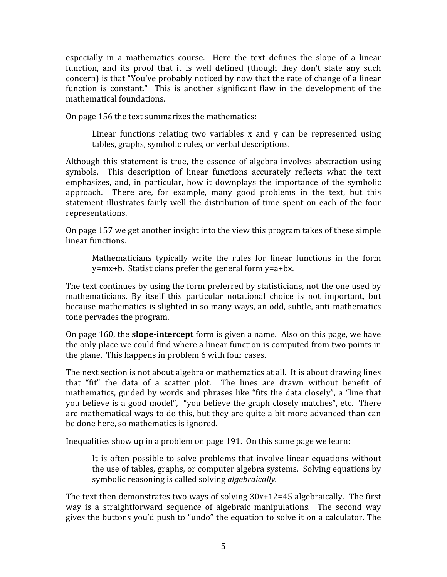especially in a mathematics course. Here the text defines the slope of a linear function, and its proof that it is well defined (though they don't state any such concern) is that "You've probably noticed by now that the rate of change of a linear function is constant." This is another significant flaw in the development of the mathematical foundations.

On page 156 the text summarizes the mathematics:

Linear functions relating two variables  $x$  and  $y$  can be represented using tables, graphs, symbolic rules, or verbal descriptions.

Although this statement is true, the essence of algebra involves abstraction using symbols. This description of linear functions accurately reflects what the text emphasizes, and, in particular, how it downplays the importance of the symbolic approach. There are, for example, many good problems in the text, but this statement illustrates fairly well the distribution of time spent on each of the four representations.

On page 157 we get another insight into the view this program takes of these simple linear functions.

Mathematicians typically write the rules for linear functions in the form y=mx+b. Statisticians prefer the general form y=a+bx.

The text continues by using the form preferred by statisticians, not the one used by mathematicians. By itself this particular notational choice is not important, but because mathematics is slighted in so many ways, an odd, subtle, anti-mathematics tone pervades the program.

On page 160, the **slopeintercept** form is given a name. Also on this page, we have the only place we could find where a linear function is computed from two points in the plane. This happens in problem 6 with four cases.

The next section is not about algebra or mathematics at all. It is about drawing lines that "fit" the data of a scatter plot. The lines are drawn without benefit of mathematics, guided by words and phrases like "fits the data closely", a "line that you believe is a good model", "you believe the graph closely matches", etc. There are mathematical ways to do this, but they are quite a bit more advanced than can be done here, so mathematics is ignored.

Inequalities show up in a problem on page 191. On this same page we learn:

It is often possible to solve problems that involve linear equations without the use of tables, graphs, or computer algebra systems. Solving equations by symbolic reasoning is called solving *algebraically.*

The text then demonstrates two ways of solving 30*x*+12=45 algebraically. The first way is a straightforward sequence of algebraic manipulations. The second way gives the buttons you'd push to "undo" the equation to solve it on a calculator. The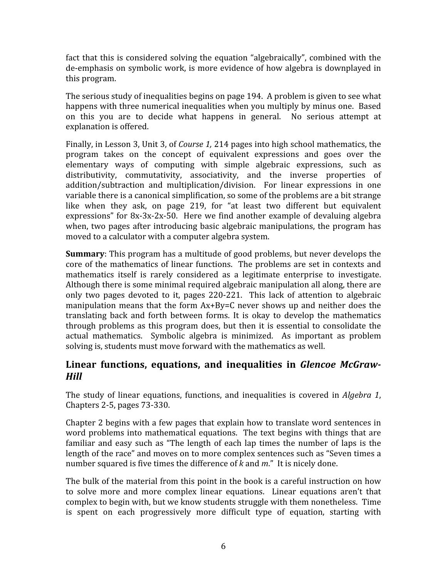fact that this is considered solving the equation "algebraically", combined with the de‐emphasis on symbolic work, is more evidence of how algebra is downplayed in this program.

The serious study of inequalities begins on page 194. A problem is given to see what happens with three numerical inequalities when you multiply by minus one. Based on this you are to decide what happens in general. No serious attempt at explanation is offered.

Finally, in Lesson 3, Unit 3, of *Course 1,* 214 pages into high school mathematics, the program takes on the concept of equivalent expressions and goes over the elementary ways of computing with simple algebraic expressions, such as distributivity, commutativity, associativity, and the inverse properties of addition/subtraction and multiplication/division. For linear expressions in one variable there is a canonical simplification, so some of the problems are a bit strange like when they ask, on page 219, for "at least two different but equivalent expressions" for 8x-3x-2x-50. Here we find another example of devaluing algebra when, two pages after introducing basic algebraic manipulations, the program has moved to a calculator with a computer algebra system.

**Summary**: This program has a multitude of good problems, but never develops the core of the mathematics of linear functions. The problems are set in contexts and mathematics itself is rarely considered as a legitimate enterprise to investigate. Although there is some minimal required algebraic manipulation all along, there are only two pages devoted to it, pages 220‐221. This lack of attention to algebraic manipulation means that the form Ax+By=C never shows up and neither does the translating back and forth between forms. It is okay to develop the mathematics through problems as this program does, but then it is essential to consolidate the actual mathematics. Symbolic algebra is minimized. As important as problem solving is, students must move forward with the mathematics as well.

#### **Linear functions, equations, and inequalities in**  *Glencoe McGraw-Hill*

The study of linear equations, functions, and inequalities is covered in *Algebra 1*, Chapters 2‐5, pages 73‐330.

Chapter 2 begins with a few pages that explain how to translate word sentences in word problems into mathematical equations. The text begins with things that are familiar and easy such as "The length of each lap times the number of laps is the length of the race" and moves on to more complex sentences such as "Seven times a number squared is five times the difference of *k* and *m*." It is nicely done.

The bulk of the material from this point in the book is a careful instruction on how to solve more and more complex linear equations. Linear equations aren't that complex to begin with, but we know students struggle with them nonetheless. Time is spent on each progressively more difficult type of equation, starting with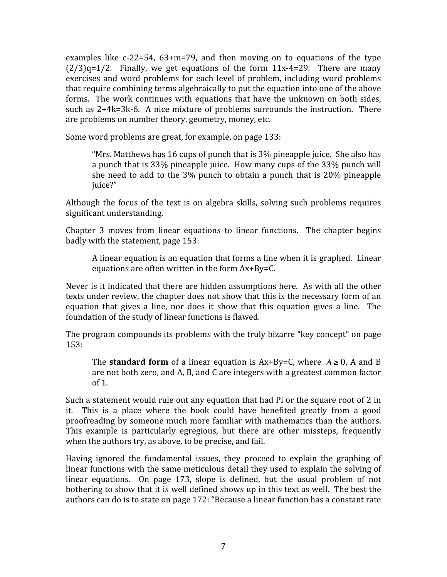examples like  $c-22=54$ ,  $63+m=79$ , and then moving on to equations of the type  $(2/3)q=1/2$ . Finally, we get equations of the form  $11x-4=29$ . There are many exercises and word problems for each level of problem, including word problems that require combining terms algebraically to put the equation into one of the above forms. The work continues with equations that have the unknown on both sides, such as  $2+4k=3k-6$ . A nice mixture of problems surrounds the instruction. There are problems on number theory, geometry, money, etc.

Some word problems are great, for example, on page 133:

"Mrs. Matthews has 16 cups of punch that is 3% pineapple juice. She also has a punch that is 33% pineapple juice. How many cups of the 33% punch will she need to add to the 3% punch to obtain a punch that is 20% pineapple juice?"

Although the focus of the text is on algebra skills, solving such problems requires significant understanding.

Chapter 3 moves from linear equations to linear functions. The chapter begins badly with the statement, page 153:

A linear equation is an equation that forms a line when it is graphed. Linear equations are often written in the form Ax+By=C.

Never is it indicated that there are hidden assumptions here. As with all the other texts under review, the chapter does not show that this is the necessary form of an equation that gives a line, nor does it show that this equation gives a line. The foundation of the study of linear functions is flawed.

The program compounds its problems with the truly bizarre "key concept" on page 153:

The **standard form** of a linear equation is  $Ax+By=C$ , where  $A \ge 0$ , A and B are not both zero, and A, B, and C are integers with a greatest common factor of 1.

Such a statement would rule out any equation that had Pi or the square root of 2 in it. This is a place where the book could have benefited greatly from a good proofreading by someone much more familiar with mathematics than the authors. This example is particularly egregious, but there are other missteps, frequently when the authors try, as above, to be precise, and fail.

Having ignored the fundamental issues, they proceed to explain the graphing of linear functions with the same meticulous detail they used to explain the solving of linear equations. On page 173, slope is defined, but the usual problem of not bothering to show that it is well defined shows up in this text as well. The best the authors can do is to state on page 172: "Because a linear function has a constant rate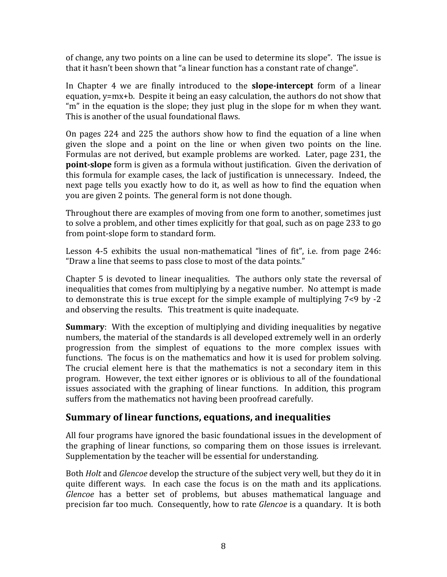of change, any two points on a line can be used to determine its slope". The issue is that it hasn't been shown that "a linear function has a constant rate of change".

In Chapter 4 we are finally introduced to the **slope-intercept** form of a linear equation, y=mx+b. Despite it being an easy calculation, the authors do not show that "m" in the equation is the slope; they just plug in the slope for m when they want. This is another of the usual foundational flaws.

On pages 224 and 225 the authors show how to find the equation of a line when given the slope and a point on the line or when given two points on the line. Formulas are not derived, but example problems are worked. Later, page 231, the **point-slope** form is given as a formula without justification. Given the derivation of this formula for example cases, the lack of justification is unnecessary. Indeed, the next page tells you exactly how to do it, as well as how to find the equation when you are given 2 points. The general form is not done though.

Throughout there are examples of moving from one form to another, sometimes just to solve a problem, and other times explicitly for that goal, such as on page 233 to go from point‐slope form to standard form.

Lesson 4-5 exhibits the usual non-mathematical "lines of fit", i.e. from page 246: "Draw a line that seems to pass close to most of the data points."

Chapter 5 is devoted to linear inequalities. The authors only state the reversal of inequalities that comes from multiplying by a negative number. No attempt is made to demonstrate this is true except for the simple example of multiplying 7<9 by ‐2 and observing the results. This treatment is quite inadequate.

**Summary**: With the exception of multiplying and dividing inequalities by negative numbers, the material of the standards is all developed extremely well in an orderly progression from the simplest of equations to the more complex issues with functions. The focus is on the mathematics and how it is used for problem solving. The crucial element here is that the mathematics is not a secondary item in this program. However, the text either ignores or is oblivious to all of the foundational issues associated with the graphing of linear functions. In addition, this program suffers from the mathematics not having been proofread carefully.

#### **Summary of linear functions, equations, and inequalities**

All four programs have ignored the basic foundational issues in the development of the graphing of linear functions, so comparing them on those issues is irrelevant. Supplementation by the teacher will be essential for understanding.

Both *Holt* and *Glencoe* develop the structure of the subject very well, but they do it in quite different ways. In each case the focus is on the math and its applications. *Glencoe* has a better set of problems, but abuses mathematical language and precision far too much. Consequently, how to rate *Glencoe* is a quandary. It is both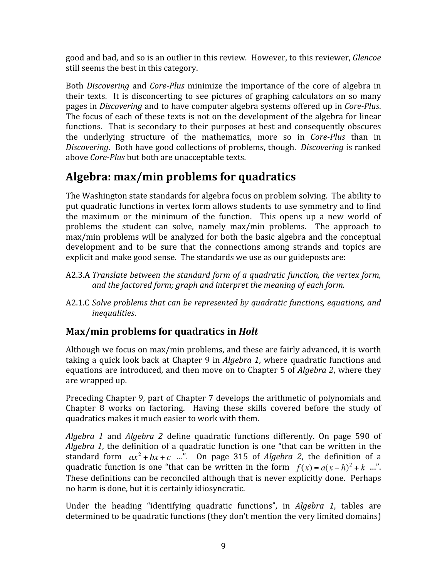good and bad, and so is an outlier in this review*.* However, to this reviewer, *Glencoe* still seems the best in this category.

Both *Discovering* and *CorePlus* minimize the importance of the core of algebra in their texts. It is disconcerting to see pictures of graphing calculators on so many pages in *Discovering* and to have computer algebra systems offered up in *Core-Plus*. The focus of each of these texts is not on the development of the algebra for linear functions. That is secondary to their purposes at best and consequently obscures the underlying structure of the mathematics, more so in *Core-Plus* than in *Discovering*. Both have good collections of problems, though. *Discovering* is ranked above *Core-Plus* but both are unacceptable texts.

# **Algebra: max/min problems for quadratics**

The Washington state standards for algebra focus on problem solving. The ability to put quadratic functions in vertex form allows students to use symmetry and to find the maximum or the minimum of the function. This opens up a new world of problems the student can solve, namely max/min problems. The approach to max/min problems will be analyzed for both the basic algebra and the conceptual development and to be sure that the connections among strands and topics are explicit and make good sense. The standards we use as our guideposts are:

- A2.3.A *Translate between the standard form of a quadratic function, the vertex form, and the factored form; graph and interpret the meaning of each form.*
- A2.1.C *Solve problems that can be represented by quadratic functions, equations, and inequalities*.

## **Max/min problems for quadratics in** *Holt*

Although we focus on max/min problems, and these are fairly advanced, it is worth taking a quick look back at Chapter 9 in *Algebra 1*, where quadratic functions and equations are introduced, and then move on to Chapter 5 of *Algebra 2*, where they are wrapped up.

Preceding Chapter 9, part of Chapter 7 develops the arithmetic of polynomials and Chapter 8 works on factoring. Having these skills covered before the study of quadratics makes it much easier to work with them.

*Algebra 1* and *Algebra 2* define quadratic functions differently. On page 590 of *Algebra 1*, the definition of a quadratic function is one "that can be written in the standard form  $ax^2 + bx + c$  ...". On page 315 of *Algebra 2*, the definition of a quadratic function is one "that can be written in the form  $f(x) = a(x - h)^2 + k$  ...". These definitions can be reconciled although that is never explicitly done. Perhaps no harm is done, but it is certainly idiosyncratic.

Under the heading "identifying quadratic functions", in *Algebra 1*, tables are determined to be quadratic functions (they don't mention the very limited domains)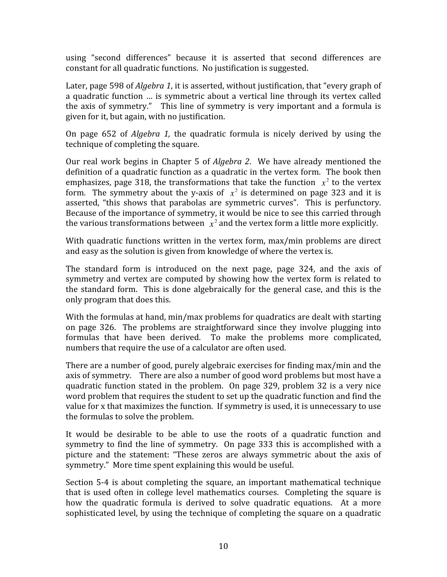using "second differences" because it is asserted that second differences are constant for all quadratic functions. No justification is suggested.

Later, page 598 of *Algebra 1*, it is asserted, without justification, that "every graph of a quadratic function … is symmetric about a vertical line through its vertex called the axis of symmetry." This line of symmetry is very important and a formula is given for it, but again, with no justification.

On page 652 of *Algebra 1,* the quadratic formula is nicely derived by using the technique of completing the square.

Our real work begins in Chapter 5 of *Algebra 2*. We have already mentioned the definition of a quadratic function as a quadratic in the vertex form. The book then emphasizes, page 318, the transformations that take the function  $x^2$  to the vertex form. The symmetry about the y-axis of  $x^2$  is determined on page 323 and it is asserted, "this shows that parabolas are symmetric curves". This is perfunctory. Because of the importance of symmetry, it would be nice to see this carried through the various transformations between  $\bar{x}^2$  and the vertex form a little more explicitly.

With quadratic functions written in the vertex form, max/min problems are direct and easy as the solution is given from knowledge of where the vertex is.

The standard form is introduced on the next page, page 324, and the axis of symmetry and vertex are computed by showing how the vertex form is related to the standard form. This is done algebraically for the general case, and this is the only program that does this.

With the formulas at hand, min/max problems for quadratics are dealt with starting on page 326. The problems are straightforward since they involve plugging into formulas that have been derived. To make the problems more complicated, numbers that require the use of a calculator are often used.

There are a number of good, purely algebraic exercises for finding max/min and the axis of symmetry. There are also a number of good word problems but most have a quadratic function stated in the problem. On page 329, problem 32 is a very nice word problem that requires the student to set up the quadratic function and find the value for x that maximizes the function. If symmetry is used, it is unnecessary to use the formulas to solve the problem.

It would be desirable to be able to use the roots of a quadratic function and symmetry to find the line of symmetry. On page 333 this is accomplished with a picture and the statement: "These zeros are always symmetric about the axis of symmetry." More time spent explaining this would be useful.

Section 5‐4 is about completing the square, an important mathematical technique that is used often in college level mathematics courses. Completing the square is how the quadratic formula is derived to solve quadratic equations. At a more sophisticated level, by using the technique of completing the square on a quadratic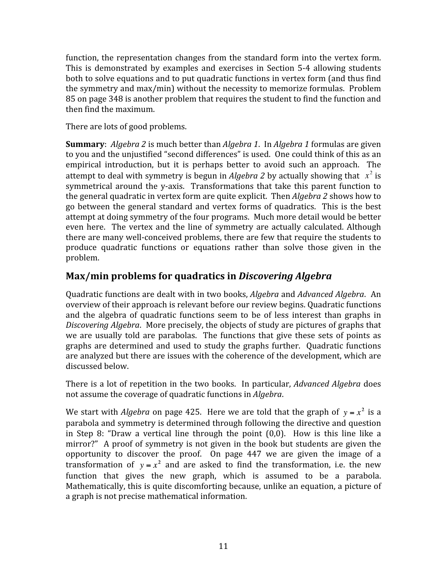function, the representation changes from the standard form into the vertex form. This is demonstrated by examples and exercises in Section 5-4 allowing students both to solve equations and to put quadratic functions in vertex form (and thus find the symmetry and max/min) without the necessity to memorize formulas. Problem 85 on page 348 is another problem that requires the student to find the function and then find the maximum.

There are lots of good problems.

**Summary**: *Algebra 2* is much better than *Algebra 1*. In *Algebra 1* formulas are given to you and the unjustified "second differences" is used. One could think of this as an empirical introduction, but it is perhaps better to avoid such an approach. The attempt to deal with symmetry is begun in *Algebra 2* by actually showing that  $x^2$  is symmetrical around the v-axis. Transformations that take this parent function to the general quadratic in vertex form are quite explicit. Then *Algebra 2* shows how to go between the general standard and vertex forms of quadratics. This is the best attempt at doing symmetry of the four programs. Much more detail would be better even here. The vertex and the line of symmetry are actually calculated. Although there are many well‐conceived problems, there are few that require the students to produce quadratic functions or equations rather than solve those given in the problem.

#### **Max/min problems for quadratics in** *Discovering Algebra*

Quadratic functions are dealt with in two books, *Algebra* and *Advanced Algebra*. An overview of their approach is relevant before our review begins. Quadratic functions and the algebra of quadratic functions seem to be of less interest than graphs in *Discovering Algebra*. More precisely, the objects of study are pictures of graphs that we are usually told are parabolas. The functions that give these sets of points as graphs are determined and used to study the graphs further. Quadratic functions are analyzed but there are issues with the coherence of the development, which are discussed below.

There is a lot of repetition in the two books. In particular, *Advanced Algebra* does not assume the coverage of quadratic functions in *Algebra*.

We start with *Algebra* on page 425. Here we are told that the graph of  $y = x^2$  is a parabola and symmetry is determined through following the directive and question in Step 8: "Draw a vertical line through the point  $(0,0)$ . How is this line like a mirror?" A proof of symmetry is not given in the book but students are given the opportunity to discover the proof. On page 447 we are given the image of a transformation of  $y = x^2$  and are asked to find the transformation, i.e. the new function that gives the new graph, which is assumed to be a parabola. Mathematically, this is quite discomforting because, unlike an equation, a picture of a graph is not precise mathematical information.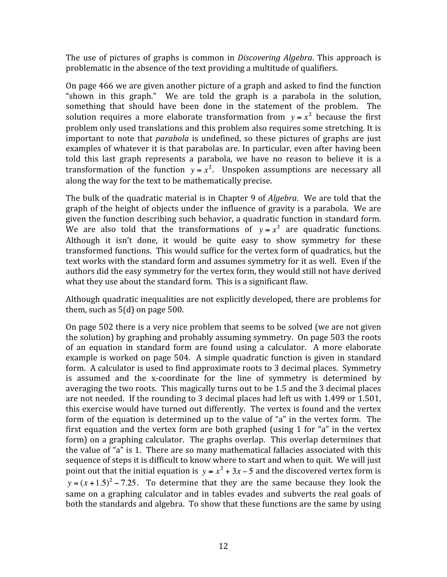The use of pictures of graphs is common in *Discovering Algebra*. This approach is problematic in the absence of the text providing a multitude of qualifiers.

On page 466 we are given another picture of a graph and asked to find the function "shown in this graph." We are told the graph is a parabola in the solution, something that should have been done in the statement of the problem. The solution requires a more elaborate transformation from  $y = x^2$  because the first problem only used translations and this problem also requires some stretching. It is important to note that *parabola* is undefined, so these pictures of graphs are just examples of whatever it is that parabolas are. In particular, even after having been told this last graph represents a parabola, we have no reason to believe it is a transformation of the function  $y = x^2$ . Unspoken assumptions are necessary all along the way for the text to be mathematically precise.

The bulk of the quadratic material is in Chapter 9 of *Algebra*. We are told that the graph of the height of objects under the influence of gravity is a parabola. We are given the function describing such behavior, a quadratic function in standard form. We are also told that the transformations of  $y = x^2$  are quadratic functions. Although it isn't done, it would be quite easy to show symmetry for these transformed functions. This would suffice for the vertex form of quadratics, but the text works with the standard form and assumes symmetry for it as well. Even if the authors did the easy symmetry for the vertex form, they would still not have derived what they use about the standard form. This is a significant flaw.

Although quadratic inequalities are not explicitly developed, there are problems for them, such as 5(d) on page 500.

On page 502 there is a very nice problem that seems to be solved (we are not given the solution) by graphing and probably assuming symmetry. On page 503 the roots of an equation in standard form are found using a calculator. A more elaborate example is worked on page 504. A simple quadratic function is given in standard form. A calculator is used to find approximate roots to 3 decimal places. Symmetry is assumed and the x‐coordinate for the line of symmetry is determined by averaging the two roots. This magically turns out to be 1.5 and the 3 decimal places are not needed. If the rounding to 3 decimal places had left us with 1.499 or 1.501, this exercise would have turned out differently. The vertex is found and the vertex form of the equation is determined up to the value of "a" in the vertex form. The first equation and the vertex form are both graphed (using 1 for "a" in the vertex form) on a graphing calculator. The graphs overlap. This overlap determines that the value of "a" is 1. There are so many mathematical fallacies associated with this sequence of steps it is difficult to know where to start and when to quit. We will just point out that the initial equation is  $y = x^2 + 3x - 5$  and the discovered vertex form is  $y = (x + 1.5)^2 - 7.25$ . To determine that they are the same because they look the same on a graphing calculator and in tables evades and subverts the real goals of both the standards and algebra. To show that these functions are the same by using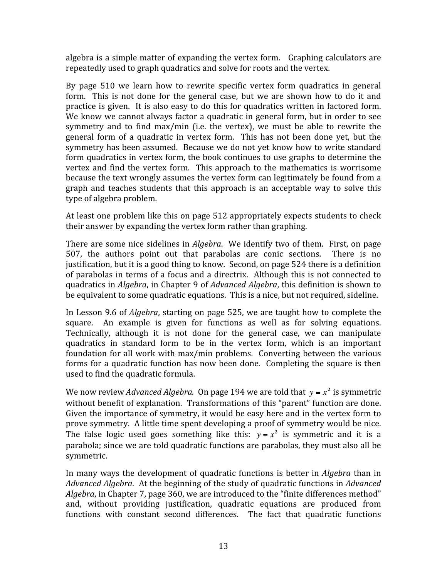algebra is a simple matter of expanding the vertex form. Graphing calculators are repeatedly used to graph quadratics and solve for roots and the vertex.

By page 510 we learn how to rewrite specific vertex form quadratics in general form. This is not done for the general case, but we are shown how to do it and practice is given. It is also easy to do this for quadratics written in factored form. We know we cannot always factor a quadratic in general form, but in order to see symmetry and to find max/min (i.e. the vertex), we must be able to rewrite the general form of a quadratic in vertex form. This has not been done yet, but the symmetry has been assumed. Because we do not yet know how to write standard form quadratics in vertex form, the book continues to use graphs to determine the vertex and find the vertex form. This approach to the mathematics is worrisome because the text wrongly assumes the vertex form can legitimately be found from a graph and teaches students that this approach is an acceptable way to solve this type of algebra problem.

At least one problem like this on page 512 appropriately expects students to check their answer by expanding the vertex form rather than graphing.

There are some nice sidelines in *Algebra*. We identify two of them. First, on page 507, the authors point out that parabolas are conic sections. There is no justification, but it is a good thing to know. Second, on page 524 there is a definition of parabolas in terms of a focus and a directrix. Although this is not connected to quadratics in *Algebra*, in Chapter 9 of *Advanced Algebra*, this definition is shown to be equivalent to some quadratic equations. This is a nice, but not required, sideline.

In Lesson 9.6 of *Algebra*, starting on page 525, we are taught how to complete the square. An example is given for functions as well as for solving equations. Technically, although it is not done for the general case, we can manipulate quadratics in standard form to be in the vertex form, which is an important foundation for all work with max/min problems. Converting between the various forms for a quadratic function has now been done. Completing the square is then used to find the quadratic formula.

We now review *Advanced Algebra.* On page 194 we are told that  $y = x^2$  is symmetric without benefit of explanation. Transformations of this "parent" function are done. Given the importance of symmetry, it would be easy here and in the vertex form to prove symmetry. A little time spent developing a proof of symmetry would be nice. The false logic used goes something like this:  $y = x^2$  is symmetric and it is a parabola; since we are told quadratic functions are parabolas, they must also all be symmetric.

In many ways the development of quadratic functions is better in *Algebra* than in *Advanced Algebra*. At the beginning of the study of quadratic functions in *Advanced Algebra*, in Chapter 7, page 360, we are introduced to the "finite differences method" and, without providing justification, quadratic equations are produced from functions with constant second differences. The fact that quadratic functions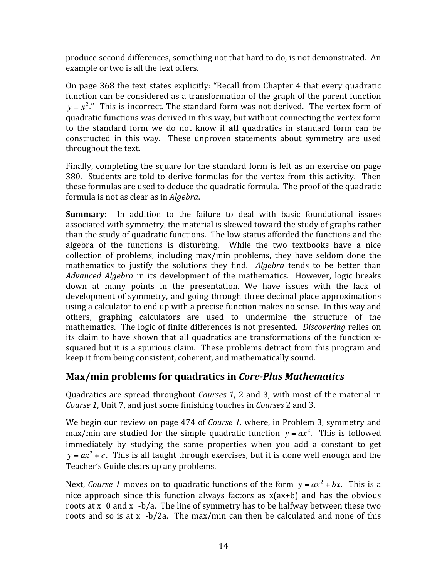produce second differences, something not that hard to do, is not demonstrated. An example or two is all the text offers.

On page 368 the text states explicitly: "Recall from Chapter 4 that every quadratic function can be considered as a transformation of the graph of the parent function  $y = x<sup>2</sup>$ ." This is incorrect. The standard form was not derived. The vertex form of quadratic functions was derived in this way, but without connecting the vertex form to the standard form we do not know if **all** quadratics in standard form can be constructed in this way. These unproven statements about symmetry are used throughout the text.

Finally, completing the square for the standard form is left as an exercise on page 380. Students are told to derive formulas for the vertex from this activity. Then these formulas are used to deduce the quadratic formula. The proof of the quadratic formula is not as clear as in *Algebra*.

**Summary**: In addition to the failure to deal with basic foundational issues associated with symmetry, the material is skewed toward the study of graphs rather than the study of quadratic functions. The low status afforded the functions and the algebra of the functions is disturbing. While the two textbooks have a nice collection of problems, including max/min problems, they have seldom done the mathematics to justify the solutions they find. Algebra tends to be better than *Advanced Algebra* in its development of the mathematics. However, logic breaks down at many points in the presentation. We have issues with the lack of development of symmetry, and going through three decimal place approximations using a calculator to end up with a precise function makes no sense. In this way and others, graphing calculators are used to undermine the structure of the mathematics. The logic of finite differences is not presented. *Discovering* relies on its claim to have shown that all quadratics are transformations of the function xsquared but it is a spurious claim. These problems detract from this program and keep it from being consistent, coherent, and mathematically sound.

#### **Max/min problems for quadratics in** *CorePlus Mathematics*

Quadratics are spread throughout *Courses 1*, 2 and 3, with most of the material in *Course 1*, Unit 7, and just some finishing touches in *Courses* 2 and 3.

We begin our review on page 474 of *Course 1,* where, in Problem 3, symmetry and max/min are studied for the simple quadratic function  $y = ax^2$ . This is followed immediately by studying the same properties when you add a constant to get  $y = ax^2 + c$ . This is all taught through exercises, but it is done well enough and the Teacher's Guide clears up any problems.

Next, *Course 1* moves on to quadratic functions of the form  $y = ax^2 + bx$ . This is a nice approach since this function always factors as  $x(ax+b)$  and has the obvious roots at  $x=0$  and  $x=-b/a$ . The line of symmetry has to be halfway between these two roots and so is at  $x = -b/2a$ . The max/min can then be calculated and none of this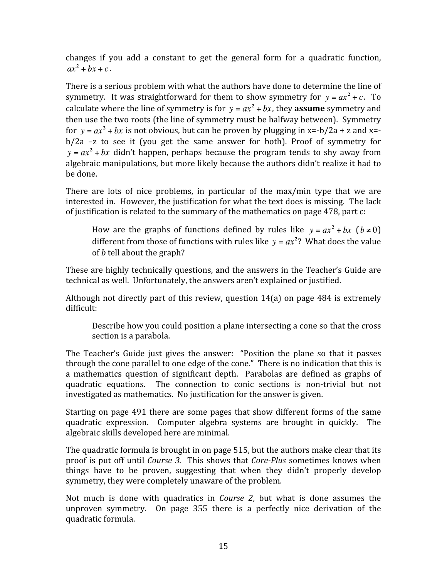changes if you add a constant to get the general form for a quadratic function,  $ax^2 + bx + c$ .

There is a serious problem with what the authors have done to determine the line of symmetry. It was straightforward for them to show symmetry for  $y = ax^2 + c$ . To calculate where the line of symmetry is for  $y = ax^2 + bx$ , they **assume** symmetry and then use the two roots (the line of symmetry must be halfway between). Symmetry for  $y = ax^2 + bx$  is not obvious, but can be proven by plugging in x=-b/2a + z and x=b/2a –z to see it (you get the same answer for both). Proof of symmetry for  $y = ax^2 + bx$  didn't happen, perhaps because the program tends to shy away from algebraic manipulations, but more likely because the authors didn't realize it had to be done.

There are lots of nice problems, in particular of the max/min type that we are interested in. However, the justification for what the text does is missing. The lack of justification is related to the summary of the mathematics on page 478, part c:

How are the graphs of functions defined by rules like  $y = ax^2 + bx$  ( $b \ne 0$ ) different from those of functions with rules like  $y = ax^2$ ? What does the value of *b* tell about the graph?

These are highly technically questions, and the answers in the Teacher's Guide are technical as well. Unfortunately, the answers aren't explained or justified.

Although not directly part of this review, question 14(a) on page 484 is extremely difficult:

Describe how you could position a plane intersecting a cone so that the cross section is a parabola.

The Teacher's Guide just gives the answer: "Position the plane so that it passes through the cone parallel to one edge of the cone." There is no indication that this is a mathematics question of significant depth. Parabolas are defined as graphs of quadratic equations. The connection to conic sections is non-trivial but not investigated as mathematics. No justification for the answer is given.

Starting on page 491 there are some pages that show different forms of the same quadratic expression. Computer algebra systems are brought in quickly. The algebraic skills developed here are minimal.

The quadratic formula is brought in on page 515, but the authors make clear that its proof is put off until *Course 3*. This shows that *Core-Plus* sometimes knows when things have to be proven, suggesting that when they didn't properly develop symmetry, they were completely unaware of the problem.

Not much is done with quadratics in *Course 2*, but what is done assumes the unproven symmetry. On page 355 there is a perfectly nice derivation of the quadratic formula.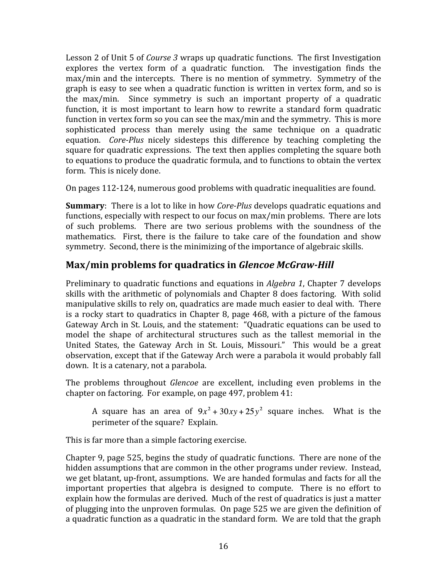Lesson 2 of Unit 5 of *Course 3* wraps up quadratic functions. The first Investigation explores the vertex form of a quadratic function. The investigation finds the max/min and the intercepts. There is no mention of symmetry. Symmetry of the graph is easy to see when a quadratic function is written in vertex form, and so is the max/min. Since symmetry is such an important property of a quadratic function, it is most important to learn how to rewrite a standard form quadratic function in vertex form so you can see the max/min and the symmetry. This is more sophisticated process than merely using the same technique on a quadratic equation. *Core-Plus* nicely sidesteps this difference by teaching completing the square for quadratic expressions. The text then applies completing the square both to equations to produce the quadratic formula, and to functions to obtain the vertex form. This is nicely done.

On pages 112‐124, numerous good problems with quadratic inequalities are found.

**Summary**: There is a lot to like in how *Core-Plus* develops quadratic equations and functions, especially with respect to our focus on max/min problems. There are lots of such problems. There are two serious problems with the soundness of the mathematics. First, there is the failure to take care of the foundation and show symmetry. Second, there is the minimizing of the importance of algebraic skills.

#### Max/min problems for quadratics in *Glencoe McGraw-Hill*

Preliminary to quadratic functions and equations in *Algebra 1*, Chapter 7 develops skills with the arithmetic of polynomials and Chapter 8 does factoring. With solid manipulative skills to rely on, quadratics are made much easier to deal with. There is a rocky start to quadratics in Chapter 8, page 468, with a picture of the famous Gateway Arch in St. Louis, and the statement: "Quadratic equations can be used to model the shape of architectural structures such as the tallest memorial in the United States, the Gateway Arch in St. Louis, Missouri." This would be a great observation, except that if the Gateway Arch were a parabola it would probably fall down. It is a catenary, not a parabola.

The problems throughout *Glencoe* are excellent, including even problems in the chapter on factoring. For example, on page 497, problem 41:

A square has an area of  $9x^2 + 30xy + 25y^2$  square inches. What is the perimeter of the square? Explain.

This is far more than a simple factoring exercise.

Chapter 9, page 525, begins the study of quadratic functions. There are none of the hidden assumptions that are common in the other programs under review. Instead, we get blatant, up‐front, assumptions. We are handed formulas and facts for all the important properties that algebra is designed to compute. There is no effort to explain how the formulas are derived. Much of the rest of quadratics is just a matter of plugging into the unproven formulas. On page 525 we are given the definition of a quadratic function as a quadratic in the standard form. We are told that the graph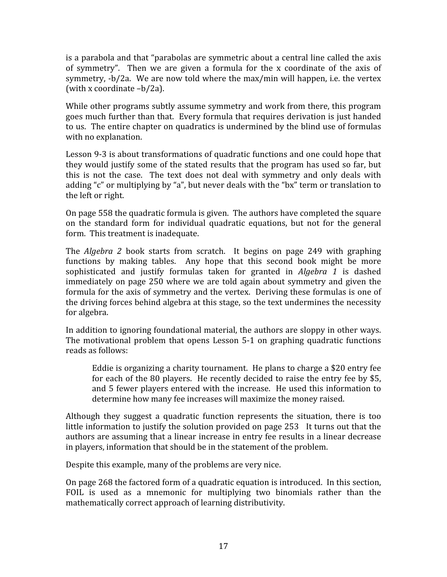is a parabola and that "parabolas are symmetric about a central line called the axis of symmetry". Then we are given a formula for the x coordinate of the axis of symmetry, ‐b/2a. We are now told where the max/min will happen, i.e. the vertex (with x coordinate –b/2a).

While other programs subtly assume symmetry and work from there, this program goes much further than that. Every formula that requires derivation is just handed to us. The entire chapter on quadratics is undermined by the blind use of formulas with no explanation.

Lesson 9‐3 is about transformations of quadratic functions and one could hope that they would justify some of the stated results that the program has used so far, but this is not the case. The text does not deal with symmetry and only deals with adding "c" or multiplying by "a", but never deals with the "bx" term or translation to the left or right.

On page 558 the quadratic formula is given. The authors have completed the square on the standard form for individual quadratic equations, but not for the general form. This treatment is inadequate.

The *Algebra 2* book starts from scratch. It begins on page 249 with graphing functions by making tables. Any hope that this second book might be more sophisticated and justify formulas taken for granted in *Algebra 1* is dashed immediately on page 250 where we are told again about symmetry and given the formula for the axis of symmetry and the vertex. Deriving these formulas is one of the driving forces behind algebra at this stage, so the text undermines the necessity for algebra.

In addition to ignoring foundational material, the authors are sloppy in other ways. The motivational problem that opens Lesson 5-1 on graphing quadratic functions reads as follows:

Eddie is organizing a charity tournament. He plans to charge a \$20 entry fee for each of the 80 players. He recently decided to raise the entry fee by \$5, and 5 fewer players entered with the increase. He used this information to determine how many fee increases will maximize the money raised.

Although they suggest a quadratic function represents the situation, there is too little information to justify the solution provided on page 253 It turns out that the authors are assuming that a linear increase in entry fee results in a linear decrease in players, information that should be in the statement of the problem.

Despite this example, many of the problems are very nice.

On page 268 the factored form of a quadratic equation is introduced. In this section, FOIL is used as a mnemonic for multiplying two binomials rather than the mathematically correct approach of learning distributivity.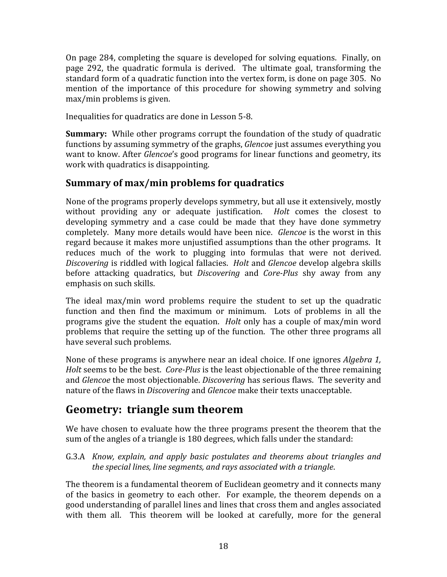On page 284, completing the square is developed for solving equations. Finally, on page 292, the quadratic formula is derived. The ultimate goal, transforming the standard form of a quadratic function into the vertex form, is done on page 305. No mention of the importance of this procedure for showing symmetry and solving max/min problems is given.

Inequalities for quadratics are done in Lesson 5‐8.

**Summary:** While other programs corrupt the foundation of the study of quadratic functions by assuming symmetry of the graphs, *Glencoe* just assumes everything you want to know. After *Glencoe*'s good programs for linear functions and geometry, its work with quadratics is disappointing.

#### **Summary of max/min problems for quadratics**

None of the programs properly develops symmetry, but all use it extensively, mostly without providing any or adequate justification. *Holt* comes the closest to developing symmetry and a case could be made that they have done symmetry completely. Many more details would have been nice. *Glencoe* is the worst in this regard because it makes more unjustified assumptions than the other programs. It reduces much of the work to plugging into formulas that were not derived. *Discovering* is riddled with logical fallacies. *Holt* and *Glencoe* develop algebra skills before attacking quadratics, but *Discovering* and *CorePlus* shy away from any emphasis on such skills.

The ideal max/min word problems require the student to set up the quadratic function and then find the maximum or minimum. Lots of problems in all the programs give the student the equation. *Holt* only has a couple of max/min word problems that require the setting up of the function. The other three programs all have several such problems.

None of these programs is anywhere near an ideal choice. If one ignores *Algebra 1, Holt* seems to be the best. *Core-Plus* is the least objectionable of the three remaining and *Glencoe* the most objectionable. *Discovering* has serious flaws. The severity and nature of the flaws in *Discovering* and *Glencoe* make their texts unacceptable.

## **Geometry: triangle sum theorem**

We have chosen to evaluate how the three programs present the theorem that the sum of the angles of a triangle is 180 degrees, which falls under the standard:

G.3.A *Know, explain, and apply basic postulates and theorems about triangles and the special lines, line segments, and rays associated with a triangle*.

The theorem is a fundamental theorem of Euclidean geometry and it connects many of the basics in geometry to each other. For example, the theorem depends on a good understanding of parallel lines and lines that cross them and angles associated with them all. This theorem will be looked at carefully, more for the general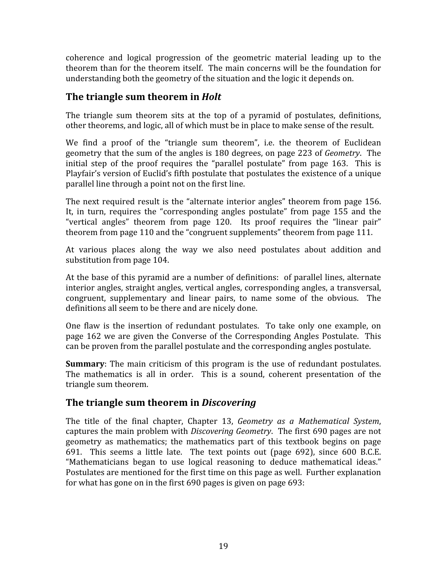coherence and logical progression of the geometric material leading up to the theorem than for the theorem itself. The main concerns will be the foundation for understanding both the geometry of the situation and the logic it depends on.

#### **The triangle sum theorem in** *Holt*

The triangle sum theorem sits at the top of a pyramid of postulates, definitions, other theorems, and logic, all of which must be in place to make sense of the result.

We find a proof of the "triangle sum theorem", i.e. the theorem of Euclidean geometry that the sum of the angles is 180 degrees, on page 223 of *Geometry*. The initial step of the proof requires the "parallel postulate" from page 163. This is Playfair's version of Euclid's fifth postulate that postulates the existence of a unique parallel line through a point not on the first line.

The next required result is the "alternate interior angles" theorem from page 156. It, in turn, requires the "corresponding angles postulate" from page 155 and the "vertical angles" theorem from page 120. Its proof requires the "linear pair" theorem from page 110 and the "congruent supplements" theorem from page 111.

At various places along the way we also need postulates about addition and substitution from page 104.

At the base of this pyramid are a number of definitions: of parallel lines, alternate interior angles, straight angles, vertical angles, corresponding angles, a transversal, congruent, supplementary and linear pairs, to name some of the obvious. The definitions all seem to be there and are nicely done.

One flaw is the insertion of redundant postulates. To take only one example, on page 162 we are given the Converse of the Corresponding Angles Postulate. This can be proven from the parallel postulate and the corresponding angles postulate.

**Summary**: The main criticism of this program is the use of redundant postulates. The mathematics is all in order. This is a sound, coherent presentation of the triangle sum theorem.

#### **The triangle sum theorem in** *Discovering*

The title of the final chapter, Chapter 13, *Geometry as a Mathematical System*, captures the main problem with *Discovering Geometry*. The first 690 pages are not geometry as mathematics; the mathematics part of this textbook begins on page 691. This seems a little late. The text points out (page 692), since 600 B.C.E. "Mathematicians began to use logical reasoning to deduce mathematical ideas." Postulates are mentioned for the first time on this page as well. Further explanation for what has gone on in the first 690 pages is given on page 693: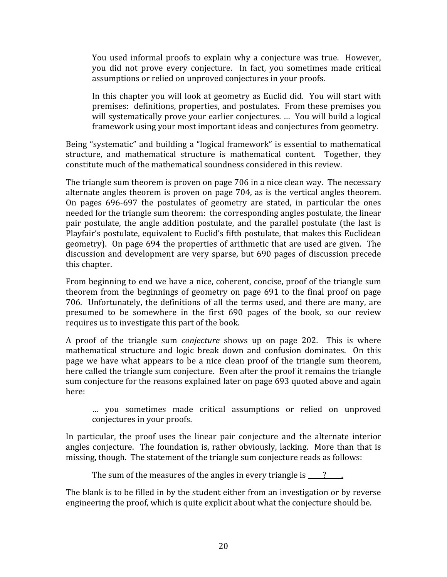You used informal proofs to explain why a conjecture was true. However, you did not prove every conjecture. In fact, you sometimes made critical assumptions or relied on unproved conjectures in your proofs.

In this chapter you will look at geometry as Euclid did. You will start with premises: definitions, properties, and postulates. From these premises you will systematically prove your earlier conjectures. … You will build a logical framework using your most important ideas and conjectures from geometry.

Being "systematic" and building a "logical framework" is essential to mathematical structure, and mathematical structure is mathematical content. Together, they constitute much of the mathematical soundness considered in this review.

The triangle sum theorem is proven on page 706 in a nice clean way. The necessary alternate angles theorem is proven on page 704, as is the vertical angles theorem. On pages 696‐697 the postulates of geometry are stated, in particular the ones needed for the triangle sum theorem: the corresponding angles postulate, the linear pair postulate, the angle addition postulate, and the parallel postulate (the last is Playfair's postulate, equivalent to Euclid's fifth postulate, that makes this Euclidean geometry). On page 694 the properties of arithmetic that are used are given. The discussion and development are very sparse, but 690 pages of discussion precede this chapter.

From beginning to end we have a nice, coherent, concise, proof of the triangle sum theorem from the beginnings of geometry on page 691 to the final proof on page 706. Unfortunately, the definitions of all the terms used, and there are many, are presumed to be somewhere in the first 690 pages of the book, so our review requires us to investigate this part of the book.

A proof of the triangle sum *conjecture* shows up on page 202. This is where mathematical structure and logic break down and confusion dominates. On this page we have what appears to be a nice clean proof of the triangle sum theorem, here called the triangle sum conjecture. Even after the proof it remains the triangle sum conjecture for the reasons explained later on page 693 quoted above and again here:

… you sometimes made critical assumptions or relied on unproved conjectures in your proofs.

In particular, the proof uses the linear pair conjecture and the alternate interior angles conjecture. The foundation is, rather obviously, lacking. More than that is missing, though. The statement of the triangle sum conjecture reads as follows:

The sum of the measures of the angles in every triangle is  $\frac{1}{2}$ .

The blank is to be filled in by the student either from an investigation or by reverse engineering the proof, which is quite explicit about what the conjecture should be.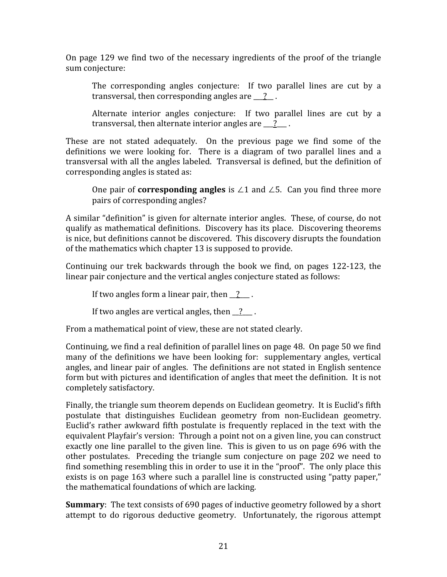On page 129 we find two of the necessary ingredients of the proof of the triangle sum conjecture:

The corresponding angles conjecture: If two parallel lines are cut by a transversal, then corresponding angles are  $\frac{1}{2}$ .

Alternate interior angles conjecture: If two parallel lines are cut by a transversal, then alternate interior angles are  $\frac{?}{?}$ .

These are not stated adequately. On the previous page we find some of the definitions we were looking for. There is a diagram of two parallel lines and a transversal with all the angles labeled. Transversal is defined, but the definition of corresponding angles is stated as:

One pair of **corresponding angles** is ∠1 and ∠5. Can you find three more pairs of corresponding angles?

A similar "definition" is given for alternate interior angles. These, of course, do not qualify as mathematical definitions. Discovery has its place. Discovering theorems is nice, but definitions cannot be discovered. This discovery disrupts the foundation of the mathematics which chapter 13 is supposed to provide.

Continuing our trek backwards through the book we find, on pages 122‐123, the linear pair conjecture and the vertical angles conjecture stated as follows:

If two angles form a linear pair, then  $\frac{?}{?}$ .

If two angles are vertical angles, then  $\frac{?}{?}$ .

From a mathematical point of view, these are not stated clearly.

Continuing, we find a real definition of parallel lines on page 48. On page 50 we find many of the definitions we have been looking for: supplementary angles, vertical angles, and linear pair of angles. The definitions are not stated in English sentence form but with pictures and identification of angles that meet the definition. It is not completely satisfactory.

Finally, the triangle sum theorem depends on Euclidean geometry. It is Euclid's fifth postulate that distinguishes Euclidean geometry from non‐Euclidean geometry. Euclid's rather awkward fifth postulate is frequently replaced in the text with the equivalent Playfair's version: Through a point not on a given line, you can construct exactly one line parallel to the given line. This is given to us on page 696 with the other postulates. Preceding the triangle sum conjecture on page 202 we need to find something resembling this in order to use it in the "proof". The only place this exists is on page 163 where such a parallel line is constructed using "patty paper," the mathematical foundations of which are lacking.

**Summary**: The text consists of 690 pages of inductive geometry followed by a short attempt to do rigorous deductive geometry. Unfortunately, the rigorous attempt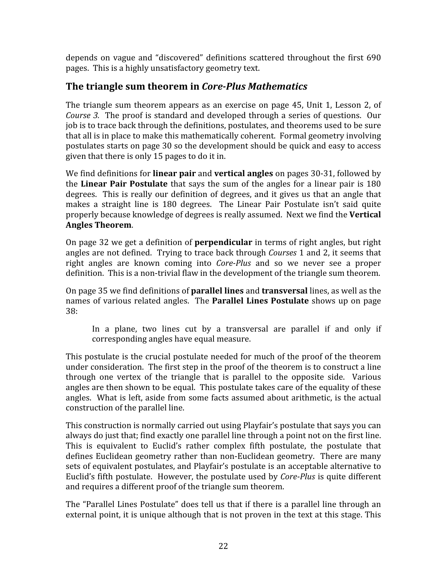depends on vague and "discovered" definitions scattered throughout the first 690 pages. This is a highly unsatisfactory geometry text.

#### **The triangle sum theorem in** *Core-Plus Mathematics*

The triangle sum theorem appears as an exercise on page 45, Unit 1, Lesson 2, of *Course 3.* The proof is standard and developed through a series of questions. Our job is to trace back through the definitions, postulates, and theorems used to be sure that all is in place to make this mathematically coherent. Formal geometry involving postulates starts on page 30 so the development should be quick and easy to access given that there is only 15 pages to do it in.

We find definitions for **linear pair** and **vertical angles** on pages 30‐31, followed by the **Linear Pair Postulate** that says the sum of the angles for a linear pair is 180 degrees. This is really our definition of degrees, and it gives us that an angle that makes a straight line is 180 degrees. The Linear Pair Postulate isn't said quite properly because knowledge of degrees is really assumed. Next we find the **Vertical Angles Theorem**.

On page 32 we get a definition of **perpendicular** in terms of right angles, but right angles are not defined. Trying to trace back through *Courses* 1 and 2, it seems that right angles are known coming into *Core-Plus* and so we never see a proper definition. This is a non-trivial flaw in the development of the triangle sum theorem.

On page 35 we find definitions of **parallel lines** and **transversal** lines, as well as the names of various related angles. The **Parallel Lines Postulate** shows up on page 38:

In a plane, two lines cut by a transversal are parallel if and only if corresponding angles have equal measure.

This postulate is the crucial postulate needed for much of the proof of the theorem under consideration. The first step in the proof of the theorem is to construct a line through one vertex of the triangle that is parallel to the opposite side. Various angles are then shown to be equal. This postulate takes care of the equality of these angles. What is left, aside from some facts assumed about arithmetic, is the actual construction of the parallel line.

This construction is normally carried out using Playfair's postulate that says you can always do just that; find exactly one parallel line through a point not on the first line. This is equivalent to Euclid's rather complex fifth postulate, the postulate that defines Euclidean geometry rather than non-Euclidean geometry. There are many sets of equivalent postulates, and Playfair's postulate is an acceptable alternative to Euclid's fifth postulate. However, the postulate used by *Core-Plus* is quite different and requires a different proof of the triangle sum theorem.

The "Parallel Lines Postulate" does tell us that if there is a parallel line through an external point, it is unique although that is not proven in the text at this stage. This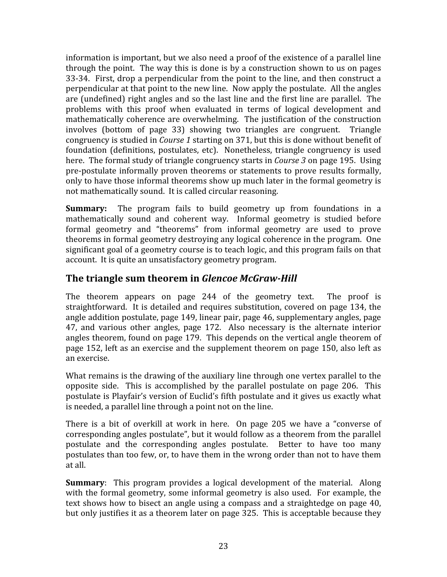information is important, but we also need a proof of the existence of a parallel line through the point. The way this is done is by a construction shown to us on pages 33‐34. First, drop a perpendicular from the point to the line, and then construct a perpendicular at that point to the new line. Now apply the postulate. All the angles are (undefined) right angles and so the last line and the first line are parallel. The problems with this proof when evaluated in terms of logical development and mathematically coherence are overwhelming. The justification of the construction involves (bottom of page 33) showing two triangles are congruent. Triangle congruency is studied in *Course 1* starting on 371, but this is done without benefit of foundation (definitions, postulates, etc). Nonetheless, triangle congruency is used here. The formal study of triangle congruency starts in *Course 3* on page 195. Using pre‐postulate informally proven theorems or statements to prove results formally, only to have those informal theorems show up much later in the formal geometry is not mathematically sound. It is called circular reasoning.

**Summary:** The program fails to build geometry up from foundations in a mathematically sound and coherent way. Informal geometry is studied before formal geometry and "theorems" from informal geometry are used to prove theorems in formal geometry destroying any logical coherence in the program. One significant goal of a geometry course is to teach logic, and this program fails on that account. It is quite an unsatisfactory geometry program.

#### **The triangle sum theorem in** *Glencoe McGraw-Hill*

The theorem appears on page 244 of the geometry text. The proof is straightforward. It is detailed and requires substitution, covered on page 134, the angle addition postulate, page 149, linear pair, page 46, supplementary angles, page 47, and various other angles, page 172. Also necessary is the alternate interior angles theorem, found on page 179. This depends on the vertical angle theorem of page 152, left as an exercise and the supplement theorem on page 150, also left as an exercise.

What remains is the drawing of the auxiliary line through one vertex parallel to the opposite side. This is accomplished by the parallel postulate on page 206. This postulate is Playfair's version of Euclid's fifth postulate and it gives us exactly what is needed, a parallel line through a point not on the line.

There is a bit of overkill at work in here. On page 205 we have a "converse of corresponding angles postulate", but it would follow as a theorem from the parallel postulate and the corresponding angles postulate. Better to have too many postulates than too few, or, to have them in the wrong order than not to have them at all.

**Summary**: This program provides a logical development of the material. Along with the formal geometry, some informal geometry is also used. For example, the text shows how to bisect an angle using a compass and a straightedge on page 40, but only justifies it as a theorem later on page 325. This is acceptable because they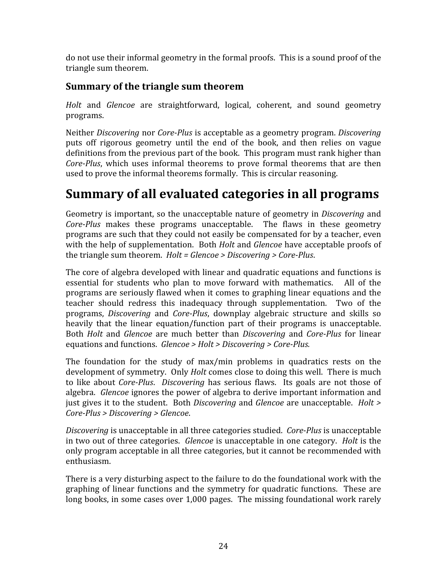do not use their informal geometry in the formal proofs. This is a sound proof of the triangle sum theorem.

#### **Summary of the triangle sum theorem**

*Holt*  and *Glencoe*  are straightforward, logical, coherent, and sound geometry programs.

Neither *Discovering* nor *CorePlus* is acceptable as a geometry program. *Discovering* puts off rigorous geometry until the end of the book, and then relies on vague definitions from the previous part of the book. This program must rank higher than *Core-Plus*, which uses informal theorems to prove formal theorems that are then used to prove the informal theorems formally. This is circular reasoning.

# **Summary of all evaluated categories in all programs**

Geometry is important, so the unacceptable nature of geometry in *Discovering* and *Core-Plus* makes these programs unacceptable. The flaws in these geometry programs are such that they could not easily be compensated for by a teacher, even with the help of supplementation. Both *Holt* and *Glencoe* have acceptable proofs of the triangle sum theorem. *Holt = Glencoe > Discovering > Core-Plus*.

The core of algebra developed with linear and quadratic equations and functions is essential for students who plan to move forward with mathematics. All of the programs are seriously flawed when it comes to graphing linear equations and the teacher should redress this inadequacy through supplementation. Two of the programs, *Discovering* and *Core-Plus*, downplay algebraic structure and skills so heavily that the linear equation/function part of their programs is unacceptable. Both *Holt* and *Glencoe* are much better than *Discovering* and *Core-Plus* for linear equations and functions. *Glencoe > Holt > Discovering > Core-Plus.* 

The foundation for the study of  $max/min$  problems in quadratics rests on the development of symmetry. Only *Holt* comes close to doing this well. There is much to like about *CorePlus*. *Discovering* has serious flaws. Its goals are not those of algebra. *Glencoe* ignores the power of algebra to derive important information and just gives it to the student. Both *Discovering* and *Glencoe* are unacceptable. *Holt > CorePlus > Discovering > Glencoe*.

*Discovering* is unacceptable in all three categories studied. *Core-Plus* is unacceptable in two out of three categories. *Glencoe* is unacceptable in one category. *Holt* is the only program acceptable in all three categories, but it cannot be recommended with enthusiasm.

There is a very disturbing aspect to the failure to do the foundational work with the graphing of linear functions and the symmetry for quadratic functions. These are long books, in some cases over 1,000 pages. The missing foundational work rarely